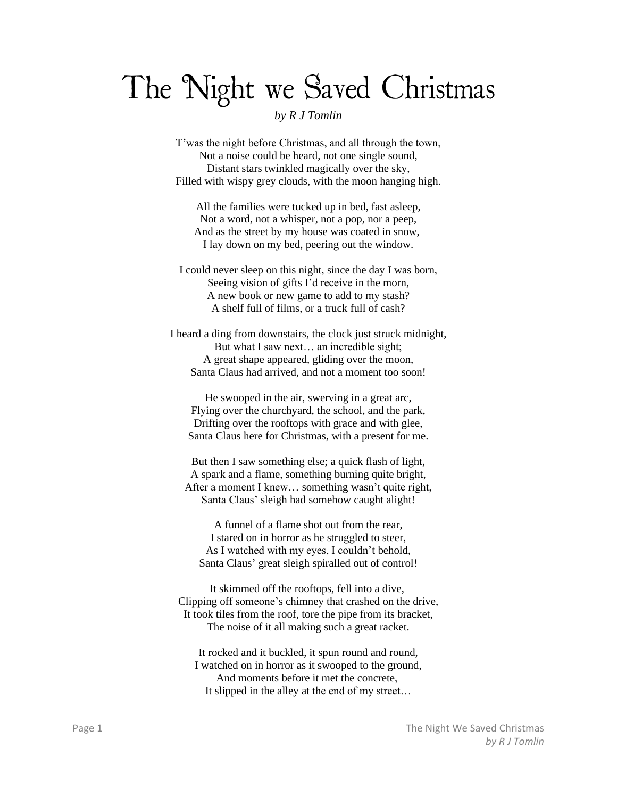## The Night we Saved Christmas

## *by R J Tomlin*

T'was the night before Christmas, and all through the town, Not a noise could be heard, not one single sound, Distant stars twinkled magically over the sky, Filled with wispy grey clouds, with the moon hanging high.

All the families were tucked up in bed, fast asleep, Not a word, not a whisper, not a pop, nor a peep, And as the street by my house was coated in snow, I lay down on my bed, peering out the window.

I could never sleep on this night, since the day I was born, Seeing vision of gifts I'd receive in the morn, A new book or new game to add to my stash? A shelf full of films, or a truck full of cash?

I heard a ding from downstairs, the clock just struck midnight, But what I saw next… an incredible sight; A great shape appeared, gliding over the moon, Santa Claus had arrived, and not a moment too soon!

He swooped in the air, swerving in a great arc, Flying over the churchyard, the school, and the park, Drifting over the rooftops with grace and with glee, Santa Claus here for Christmas, with a present for me.

But then I saw something else; a quick flash of light, A spark and a flame, something burning quite bright, After a moment I knew… something wasn't quite right, Santa Claus' sleigh had somehow caught alight!

A funnel of a flame shot out from the rear, I stared on in horror as he struggled to steer, As I watched with my eyes, I couldn't behold, Santa Claus' great sleigh spiralled out of control!

It skimmed off the rooftops, fell into a dive, Clipping off someone's chimney that crashed on the drive, It took tiles from the roof, tore the pipe from its bracket, The noise of it all making such a great racket.

It rocked and it buckled, it spun round and round, I watched on in horror as it swooped to the ground, And moments before it met the concrete, It slipped in the alley at the end of my street…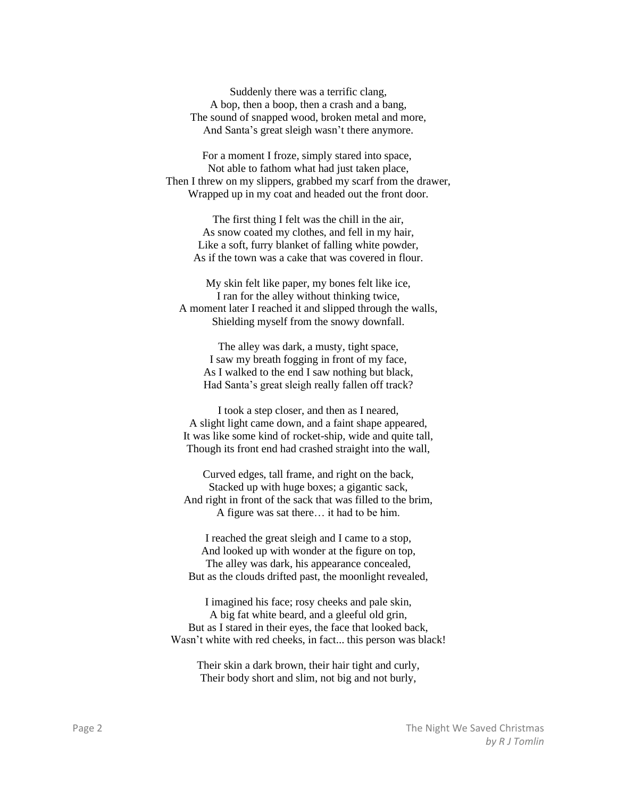Suddenly there was a terrific clang, A bop, then a boop, then a crash and a bang, The sound of snapped wood, broken metal and more, And Santa's great sleigh wasn't there anymore.

For a moment I froze, simply stared into space, Not able to fathom what had just taken place, Then I threw on my slippers, grabbed my scarf from the drawer, Wrapped up in my coat and headed out the front door.

The first thing I felt was the chill in the air, As snow coated my clothes, and fell in my hair, Like a soft, furry blanket of falling white powder, As if the town was a cake that was covered in flour.

My skin felt like paper, my bones felt like ice, I ran for the alley without thinking twice, A moment later I reached it and slipped through the walls, Shielding myself from the snowy downfall.

The alley was dark, a musty, tight space, I saw my breath fogging in front of my face, As I walked to the end I saw nothing but black, Had Santa's great sleigh really fallen off track?

I took a step closer, and then as I neared, A slight light came down, and a faint shape appeared, It was like some kind of rocket-ship, wide and quite tall, Though its front end had crashed straight into the wall,

Curved edges, tall frame, and right on the back, Stacked up with huge boxes; a gigantic sack, And right in front of the sack that was filled to the brim, A figure was sat there… it had to be him.

I reached the great sleigh and I came to a stop, And looked up with wonder at the figure on top, The alley was dark, his appearance concealed, But as the clouds drifted past, the moonlight revealed,

I imagined his face; rosy cheeks and pale skin, A big fat white beard, and a gleeful old grin, But as I stared in their eyes, the face that looked back, Wasn't white with red cheeks, in fact... this person was black!

Their skin a dark brown, their hair tight and curly, Their body short and slim, not big and not burly,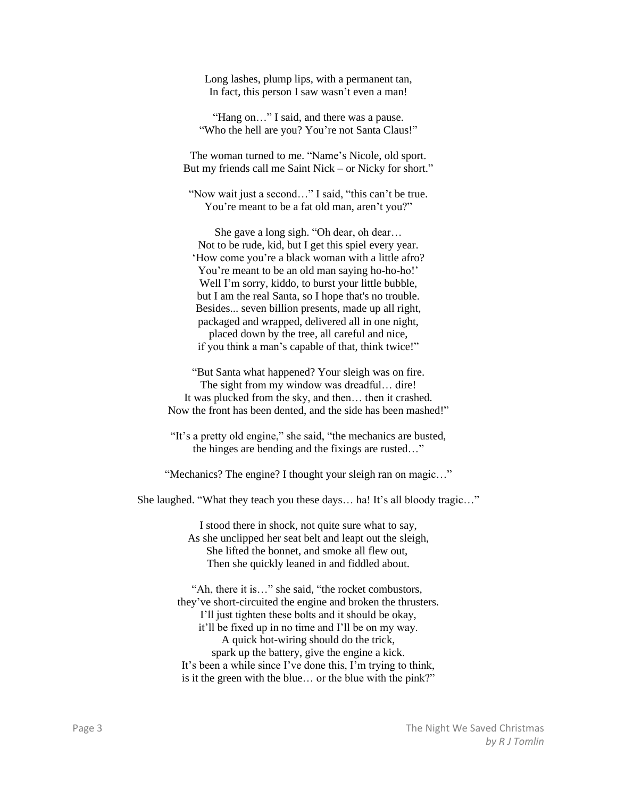Long lashes, plump lips, with a permanent tan, In fact, this person I saw wasn't even a man!

"Hang on..." I said, and there was a pause. "Who the hell are you? You're not Santa Claus!"

The woman turned to me. "Name's Nicole, old sport. But my friends call me Saint Nick – or Nicky for short."

"Now wait just a second…" I said, "this can't be true. You're meant to be a fat old man, aren't you?"

She gave a long sigh. "Oh dear, oh dear… Not to be rude, kid, but I get this spiel every year. 'How come you're a black woman with a little afro? You're meant to be an old man saying ho-ho-ho!' Well I'm sorry, kiddo, to burst your little bubble, but I am the real Santa, so I hope that's no trouble. Besides... seven billion presents, made up all right, packaged and wrapped, delivered all in one night, placed down by the tree, all careful and nice, if you think a man's capable of that, think twice!"

"But Santa what happened? Your sleigh was on fire. The sight from my window was dreadful… dire! It was plucked from the sky, and then… then it crashed. Now the front has been dented, and the side has been mashed!"

"It's a pretty old engine," she said, "the mechanics are busted, the hinges are bending and the fixings are rusted…"

"Mechanics? The engine? I thought your sleigh ran on magic…"

She laughed. "What they teach you these days… ha! It's all bloody tragic…"

I stood there in shock, not quite sure what to say, As she unclipped her seat belt and leapt out the sleigh, She lifted the bonnet, and smoke all flew out, Then she quickly leaned in and fiddled about.

"Ah, there it is…" she said, "the rocket combustors, they've short-circuited the engine and broken the thrusters. I'll just tighten these bolts and it should be okay, it'll be fixed up in no time and I'll be on my way. A quick hot-wiring should do the trick, spark up the battery, give the engine a kick. It's been a while since I've done this, I'm trying to think, is it the green with the blue… or the blue with the pink?"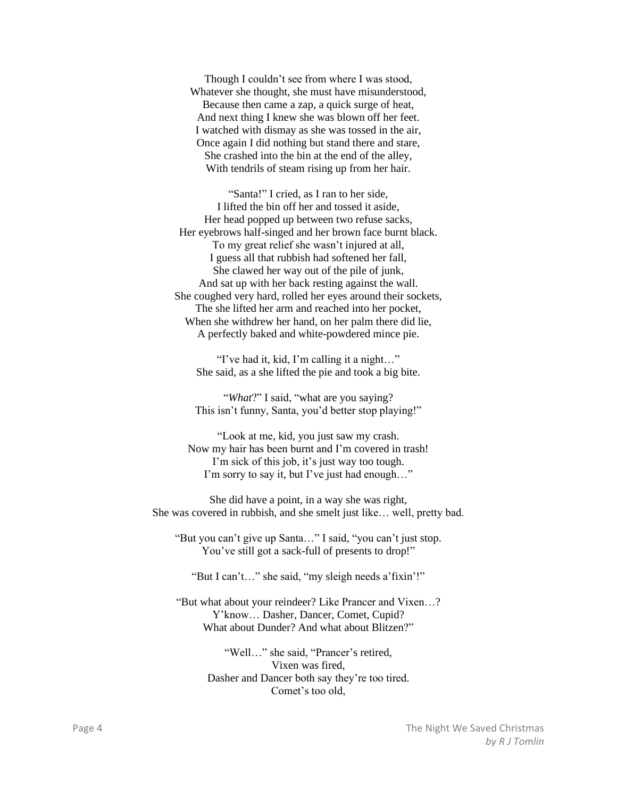Though I couldn't see from where I was stood, Whatever she thought, she must have misunderstood, Because then came a zap, a quick surge of heat, And next thing I knew she was blown off her feet. I watched with dismay as she was tossed in the air, Once again I did nothing but stand there and stare, She crashed into the bin at the end of the alley, With tendrils of steam rising up from her hair.

"Santa!" I cried, as I ran to her side, I lifted the bin off her and tossed it aside, Her head popped up between two refuse sacks, Her eyebrows half-singed and her brown face burnt black. To my great relief she wasn't injured at all, I guess all that rubbish had softened her fall, She clawed her way out of the pile of junk, And sat up with her back resting against the wall. She coughed very hard, rolled her eyes around their sockets, The she lifted her arm and reached into her pocket, When she withdrew her hand, on her palm there did lie, A perfectly baked and white-powdered mince pie.

"I've had it, kid, I'm calling it a night…" She said, as a she lifted the pie and took a big bite.

"*What*?" I said, "what are you saying? This isn't funny, Santa, you'd better stop playing!"

"Look at me, kid, you just saw my crash. Now my hair has been burnt and I'm covered in trash! I'm sick of this job, it's just way too tough. I'm sorry to say it, but I've just had enough…"

She did have a point, in a way she was right, She was covered in rubbish, and she smelt just like… well, pretty bad.

"But you can't give up Santa…" I said, "you can't just stop. You've still got a sack-full of presents to drop!"

"But I can't…" she said, "my sleigh needs a'fixin'!"

"But what about your reindeer? Like Prancer and Vixen…? Y'know… Dasher, Dancer, Comet, Cupid? What about Dunder? And what about Blitzen?"

> "Well…" she said, "Prancer's retired, Vixen was fired, Dasher and Dancer both say they're too tired. Comet's too old,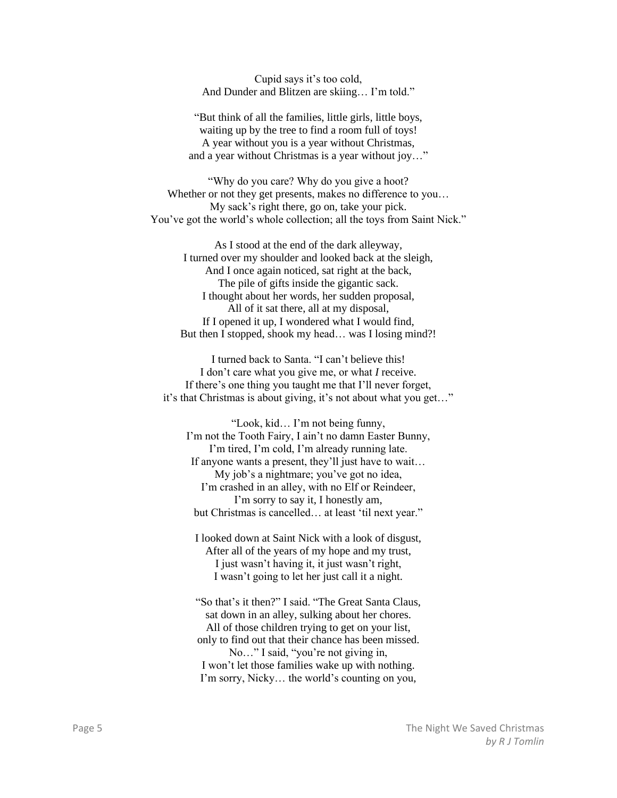Cupid says it's too cold, And Dunder and Blitzen are skiing… I'm told."

"But think of all the families, little girls, little boys, waiting up by the tree to find a room full of toys! A year without you is a year without Christmas, and a year without Christmas is a year without joy…"

"Why do you care? Why do you give a hoot? Whether or not they get presents, makes no difference to you... My sack's right there, go on, take your pick. You've got the world's whole collection; all the toys from Saint Nick."

As I stood at the end of the dark alleyway, I turned over my shoulder and looked back at the sleigh, And I once again noticed, sat right at the back, The pile of gifts inside the gigantic sack. I thought about her words, her sudden proposal, All of it sat there, all at my disposal, If I opened it up, I wondered what I would find, But then I stopped, shook my head... was I losing mind?!

I turned back to Santa. "I can't believe this! I don't care what you give me, or what *I* receive. If there's one thing you taught me that I'll never forget, it's that Christmas is about giving, it's not about what you get…"

"Look, kid… I'm not being funny, I'm not the Tooth Fairy, I ain't no damn Easter Bunny, I'm tired, I'm cold, I'm already running late. If anyone wants a present, they'll just have to wait… My job's a nightmare; you've got no idea, I'm crashed in an alley, with no Elf or Reindeer, I'm sorry to say it, I honestly am, but Christmas is cancelled… at least 'til next year."

I looked down at Saint Nick with a look of disgust, After all of the years of my hope and my trust, I just wasn't having it, it just wasn't right, I wasn't going to let her just call it a night.

"So that's it then?" I said. "The Great Santa Claus, sat down in an alley, sulking about her chores. All of those children trying to get on your list, only to find out that their chance has been missed. No…" I said, "you're not giving in, I won't let those families wake up with nothing. I'm sorry, Nicky… the world's counting on you,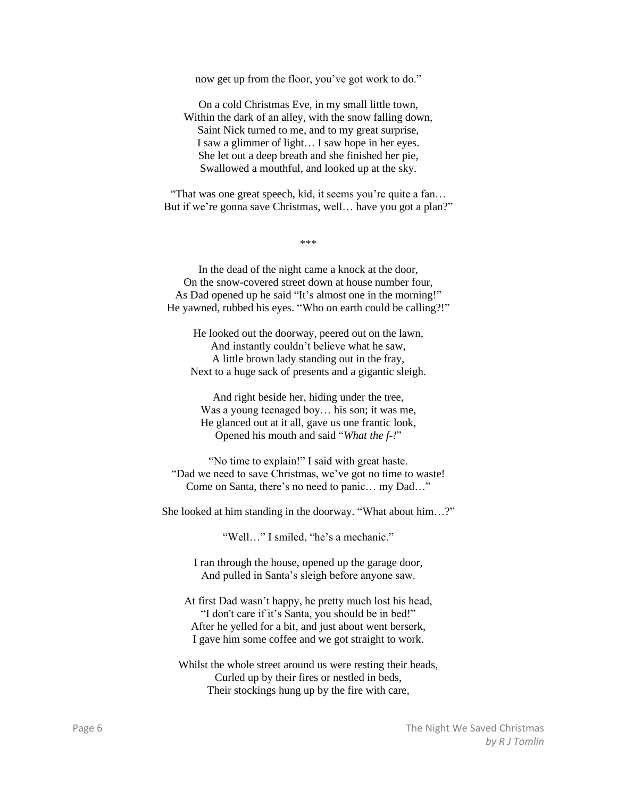now get up from the floor, you've got work to do."

On a cold Christmas Eve, in my small little town, Within the dark of an alley, with the snow falling down, Saint Nick turned to me, and to my great surprise, I saw a glimmer of light… I saw hope in her eyes. She let out a deep breath and she finished her pie, Swallowed a mouthful, and looked up at the sky.

"That was one great speech, kid, it seems you're quite a fan… But if we're gonna save Christmas, well... have you got a plan?"

\*\*\*

In the dead of the night came a knock at the door, On the snow-covered street down at house number four, As Dad opened up he said "It's almost one in the morning!" He yawned, rubbed his eyes. "Who on earth could be calling?!"

He looked out the doorway, peered out on the lawn, And instantly couldn't believe what he saw, A little brown lady standing out in the fray, Next to a huge sack of presents and a gigantic sleigh.

And right beside her, hiding under the tree, Was a young teenaged boy… his son; it was me, He glanced out at it all, gave us one frantic look, Opened his mouth and said "*What the f-!*"

"No time to explain!" I said with great haste. "Dad we need to save Christmas, we've got no time to waste! Come on Santa, there's no need to panic… my Dad…"

She looked at him standing in the doorway. "What about him…?"

"Well…" I smiled, "he's a mechanic."

I ran through the house, opened up the garage door, And pulled in Santa's sleigh before anyone saw.

At first Dad wasn't happy, he pretty much lost his head, "I don't care if it's Santa, you should be in bed!" After he yelled for a bit, and just about went berserk, I gave him some coffee and we got straight to work.

Whilst the whole street around us were resting their heads, Curled up by their fires or nestled in beds, Their stockings hung up by the fire with care,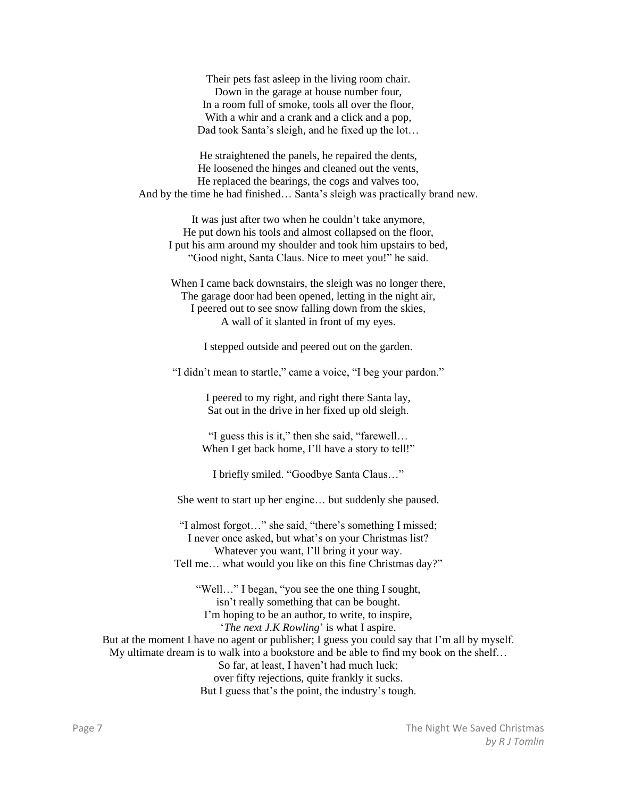Their pets fast asleep in the living room chair. Down in the garage at house number four, In a room full of smoke, tools all over the floor, With a whir and a crank and a click and a pop, Dad took Santa's sleigh, and he fixed up the lot…

He straightened the panels, he repaired the dents, He loosened the hinges and cleaned out the vents, He replaced the bearings, the cogs and valves too, And by the time he had finished… Santa's sleigh was practically brand new.

It was just after two when he couldn't take anymore, He put down his tools and almost collapsed on the floor, I put his arm around my shoulder and took him upstairs to bed, "Good night, Santa Claus. Nice to meet you!" he said.

When I came back downstairs, the sleigh was no longer there, The garage door had been opened, letting in the night air, I peered out to see snow falling down from the skies, A wall of it slanted in front of my eyes.

I stepped outside and peered out on the garden.

"I didn't mean to startle," came a voice, "I beg your pardon."

I peered to my right, and right there Santa lay, Sat out in the drive in her fixed up old sleigh.

"I guess this is it," then she said, "farewell… When I get back home, I'll have a story to tell!"

I briefly smiled. "Goodbye Santa Claus…"

She went to start up her engine… but suddenly she paused.

"I almost forgot…" she said, "there's something I missed; I never once asked, but what's on your Christmas list? Whatever you want, I'll bring it your way. Tell me… what would you like on this fine Christmas day?"

"Well…" I began, "you see the one thing I sought, isn't really something that can be bought. I'm hoping to be an author, to write, to inspire, '*The next J.K Rowling*' is what I aspire. But at the moment I have no agent or publisher; I guess you could say that I'm all by myself. My ultimate dream is to walk into a bookstore and be able to find my book on the shelf… So far, at least, I haven't had much luck; over fifty rejections, quite frankly it sucks. But I guess that's the point, the industry's tough.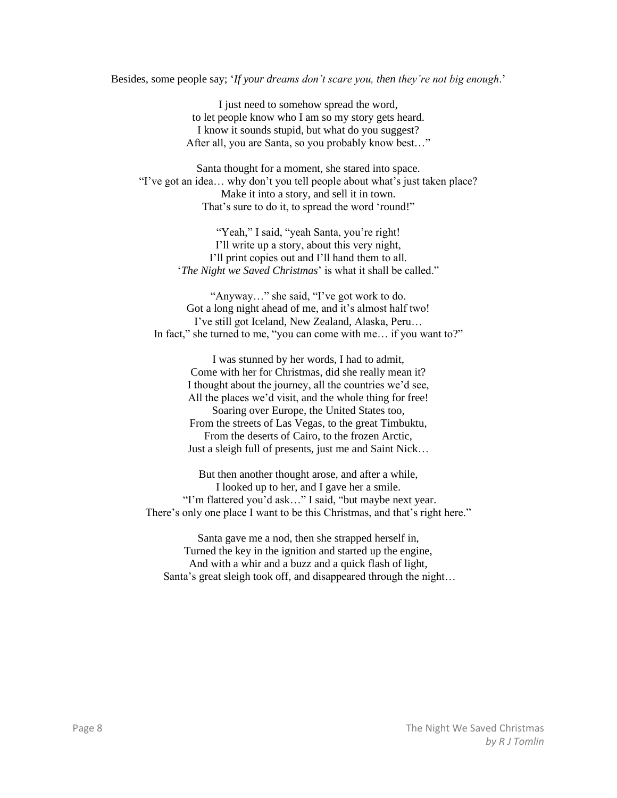Besides, some people say; '*If your dreams don't scare you, then they're not big enough*.'

I just need to somehow spread the word, to let people know who I am so my story gets heard. I know it sounds stupid, but what do you suggest? After all, you are Santa, so you probably know best…"

Santa thought for a moment, she stared into space. "I've got an idea… why don't you tell people about what's just taken place? Make it into a story, and sell it in town. That's sure to do it, to spread the word 'round!"

> "Yeah," I said, "yeah Santa, you're right! I'll write up a story, about this very night, I'll print copies out and I'll hand them to all. '*The Night we Saved Christmas*' is what it shall be called."

"Anyway…" she said, "I've got work to do. Got a long night ahead of me, and it's almost half two! I've still got Iceland, New Zealand, Alaska, Peru… In fact," she turned to me, "you can come with me... if you want to?"

> I was stunned by her words, I had to admit, Come with her for Christmas, did she really mean it? I thought about the journey, all the countries we'd see, All the places we'd visit, and the whole thing for free! Soaring over Europe, the United States too, From the streets of Las Vegas, to the great Timbuktu, From the deserts of Cairo, to the frozen Arctic, Just a sleigh full of presents, just me and Saint Nick…

But then another thought arose, and after a while, I looked up to her, and I gave her a smile. "I'm flattered you'd ask…" I said, "but maybe next year. There's only one place I want to be this Christmas, and that's right here."

Santa gave me a nod, then she strapped herself in, Turned the key in the ignition and started up the engine, And with a whir and a buzz and a quick flash of light, Santa's great sleigh took off, and disappeared through the night…